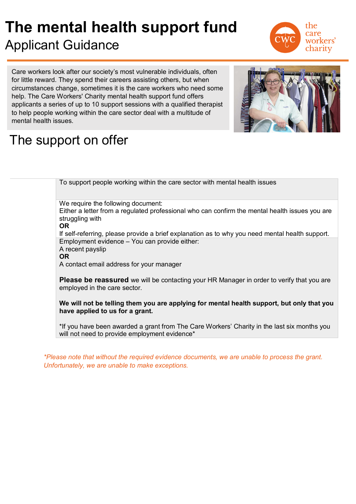## **The mental health support fund**  Applicant Guidance



Care workers look after our society's most vulnerable individuals, often for little reward. They spend their careers assisting others, but when circumstances change, sometimes it is the care workers who need some help. The Care Workers' Charity mental health support fund offers applicants a series of up to 10 support sessions with a qualified therapist to help people working within the care sector deal with a multitude of mental health issues.



## The support on offer

To support people working within the care sector with mental health issues

We require the following document:

Either a letter from a regulated professional who can confirm the mental health issues you are struggling with

**OR** 

If self-referring, please provide a brief explanation as to why you need mental health support. Employment evidence – You can provide either:

A recent payslip

**OR** 

A contact email address for your manager

**Please be reassured** we will be contacting your HR Manager in order to verify that you are employed in the care sector.

**We will not be telling them you are applying for mental health support, but only that you have applied to us for a grant.** 

\*If you have been awarded a grant from The Care Workers' Charity in the last six months you will not need to provide employment evidence\*

*\*Please note that without the required evidence documents, we are unable to process the grant. Unfortunately, we are unable to make exceptions.*